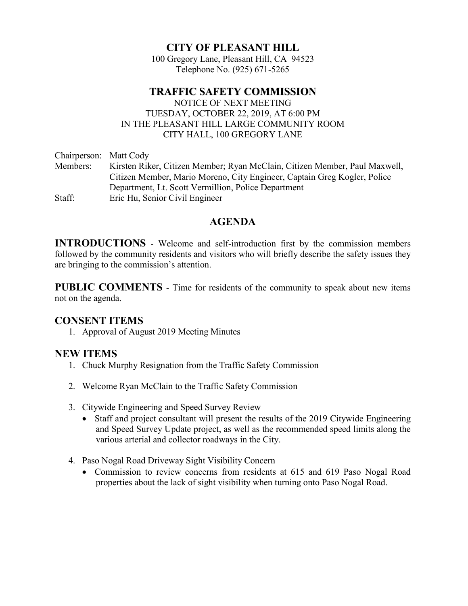# CITY OF PLEASANT HILL

100 Gregory Lane, Pleasant Hill, CA 94523 Telephone No. (925) 671-5265

# TRAFFIC SAFETY COMMISSION

 NOTICE OF NEXT MEETING TUESDAY, OCTOBER 22, 2019, AT 6:00 PM IN THE PLEASANT HILL LARGE COMMUNITY ROOM CITY HALL, 100 GREGORY LANE

Chairperson: Matt Cody Members: Kirsten Riker, Citizen Member; Ryan McClain, Citizen Member, Paul Maxwell, Citizen Member, Mario Moreno, City Engineer, Captain Greg Kogler, Police Department, Lt. Scott Vermillion, Police Department Staff: Eric Hu, Senior Civil Engineer

### AGENDA

INTRODUCTIONS - Welcome and self-introduction first by the commission members followed by the community residents and visitors who will briefly describe the safety issues they are bringing to the commission's attention.

PUBLIC COMMENTS - Time for residents of the community to speak about new items not on the agenda.

### CONSENT ITEMS

1. Approval of August 2019 Meeting Minutes

### NEW ITEMS

- 1. Chuck Murphy Resignation from the Traffic Safety Commission
- 2. Welcome Ryan McClain to the Traffic Safety Commission
- 3. Citywide Engineering and Speed Survey Review
	- Staff and project consultant will present the results of the 2019 Citywide Engineering and Speed Survey Update project, as well as the recommended speed limits along the various arterial and collector roadways in the City.
- 4. Paso Nogal Road Driveway Sight Visibility Concern
	- Commission to review concerns from residents at 615 and 619 Paso Nogal Road properties about the lack of sight visibility when turning onto Paso Nogal Road.